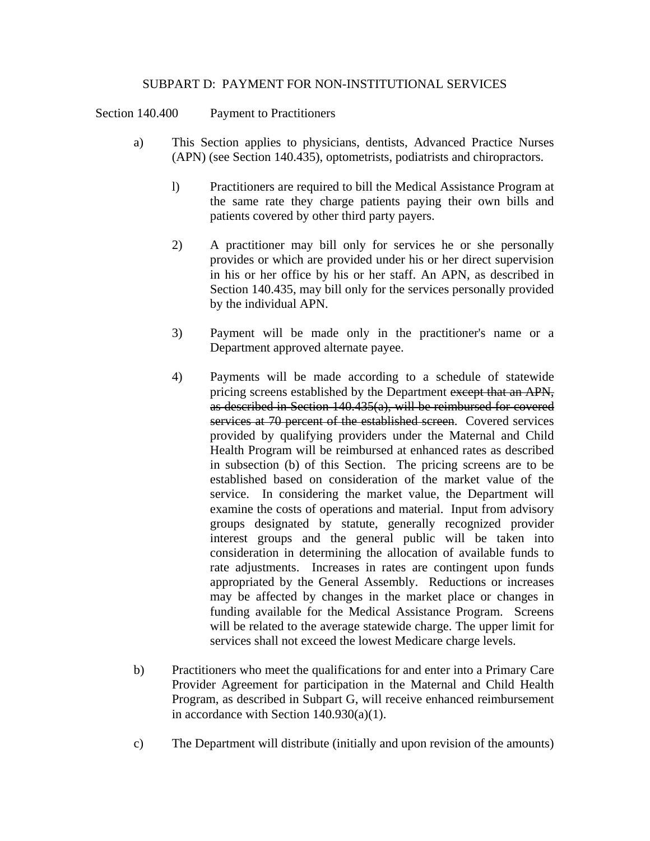## SUBPART D: PAYMENT FOR NON-INSTITUTIONAL SERVICES

Section 140.400 Payment to Practitioners

- a) This Section applies to physicians, dentists, Advanced Practice Nurses (APN) (see Section 140.435), optometrists, podiatrists and chiropractors.
	- l) Practitioners are required to bill the Medical Assistance Program at the same rate they charge patients paying their own bills and patients covered by other third party payers.
	- 2) A practitioner may bill only for services he or she personally provides or which are provided under his or her direct supervision in his or her office by his or her staff. An APN, as described in Section 140.435, may bill only for the services personally provided by the individual APN.
	- 3) Payment will be made only in the practitioner's name or a Department approved alternate payee.
	- 4) Payments will be made according to a schedule of statewide pricing screens established by the Department except that an APN, as described in Section 140.435(a), will be reimbursed for covered services at 70 percent of the established screen. Covered services provided by qualifying providers under the Maternal and Child Health Program will be reimbursed at enhanced rates as described in subsection (b) of this Section. The pricing screens are to be established based on consideration of the market value of the service. In considering the market value, the Department will examine the costs of operations and material. Input from advisory groups designated by statute, generally recognized provider interest groups and the general public will be taken into consideration in determining the allocation of available funds to rate adjustments. Increases in rates are contingent upon funds appropriated by the General Assembly. Reductions or increases may be affected by changes in the market place or changes in funding available for the Medical Assistance Program. Screens will be related to the average statewide charge. The upper limit for services shall not exceed the lowest Medicare charge levels.
- b) Practitioners who meet the qualifications for and enter into a Primary Care Provider Agreement for participation in the Maternal and Child Health Program, as described in Subpart G, will receive enhanced reimbursement in accordance with Section 140.930(a)(1).
- c) The Department will distribute (initially and upon revision of the amounts)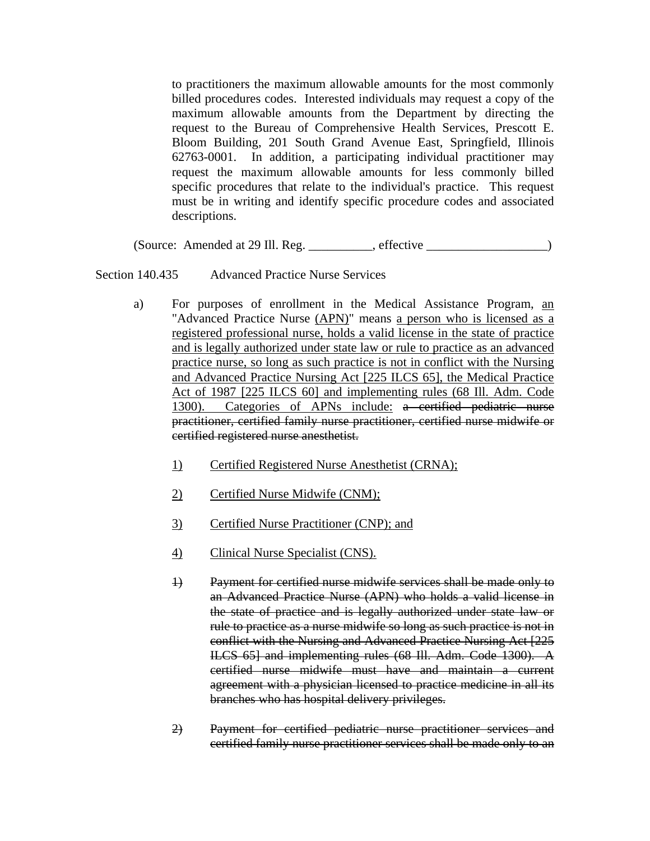to practitioners the maximum allowable amounts for the most commonly billed procedures codes. Interested individuals may request a copy of the maximum allowable amounts from the Department by directing the request to the Bureau of Comprehensive Health Services, Prescott E. Bloom Building, 201 South Grand Avenue East, Springfield, Illinois 62763-0001. In addition, a participating individual practitioner may request the maximum allowable amounts for less commonly billed specific procedures that relate to the individual's practice. This request must be in writing and identify specific procedure codes and associated descriptions.

(Source: Amended at 29 Ill. Reg. \_\_\_\_\_\_\_\_\_\_, effective \_\_\_\_\_\_\_\_\_\_\_\_\_\_\_\_\_\_\_)

Section 140.435 Advanced Practice Nurse Services

- a) For purposes of enrollment in the Medical Assistance Program, an "Advanced Practice Nurse (APN)" means a person who is licensed as a registered professional nurse, holds a valid license in the state of practice and is legally authorized under state law or rule to practice as an advanced practice nurse, so long as such practice is not in conflict with the Nursing and Advanced Practice Nursing Act [225 ILCS 65], the Medical Practice Act of 1987 [225 ILCS 60] and implementing rules (68 Ill. Adm. Code 1300). Categories of APNs include: a certified pediatric nurse practitioner, certified family nurse practitioner, certified nurse midwife or certified registered nurse anesthetist.
	- 1) Certified Registered Nurse Anesthetist (CRNA);
	- 2) Certified Nurse Midwife (CNM);
	- 3) Certified Nurse Practitioner (CNP); and
	- 4) Clinical Nurse Specialist (CNS).
	- 1) Payment for certified nurse midwife services shall be made only to an Advanced Practice Nurse (APN) who holds a valid license in the state of practice and is legally authorized under state law or rule to practice as a nurse midwife so long as such practice is not in conflict with the Nursing and Advanced Practice Nursing Act [225 ILCS 65] and implementing rules (68 Ill. Adm. Code 1300). A certified nurse midwife must have and maintain a current agreement with a physician licensed to practice medicine in all its branches who has hospital delivery privileges.
	- 2) Payment for certified pediatric nurse practitioner services and certified family nurse practitioner services shall be made only to an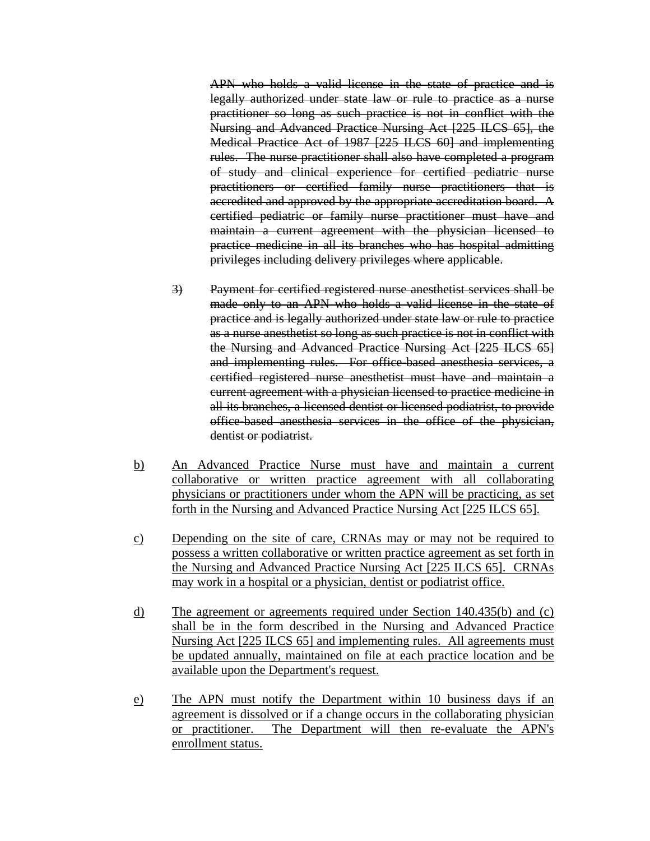APN who holds a valid license in the state of practice and is legally authorized under state law or rule to practice as a nurse practitioner so long as such practice is not in conflict with the Nursing and Advanced Practice Nursing Act [225 ILCS 65], the Medical Practice Act of 1987 [225 ILCS 60] and implementing rules. The nurse practitioner shall also have completed a program of study and clinical experience for certified pediatric nurse practitioners or certified family nurse practitioners that is accredited and approved by the appropriate accreditation board. A certified pediatric or family nurse practitioner must have and maintain a current agreement with the physician licensed to practice medicine in all its branches who has hospital admitting privileges including delivery privileges where applicable.

- 3) Payment for certified registered nurse anesthetist services shall be made only to an APN who holds a valid license in the state of practice and is legally authorized under state law or rule to practice as a nurse anesthetist so long as such practice is not in conflict with the Nursing and Advanced Practice Nursing Act [225 ILCS 65] and implementing rules. For office-based anesthesia services, a certified registered nurse anesthetist must have and maintain a current agreement with a physician licensed to practice medicine in all its branches, a licensed dentist or licensed podiatrist, to provide office-based anesthesia services in the office of the physician, dentist or podiatrist.
- b) An Advanced Practice Nurse must have and maintain a current collaborative or written practice agreement with all collaborating physicians or practitioners under whom the APN will be practicing, as set forth in the Nursing and Advanced Practice Nursing Act [225 ILCS 65].
- c) Depending on the site of care, CRNAs may or may not be required to possess a written collaborative or written practice agreement as set forth in the Nursing and Advanced Practice Nursing Act [225 ILCS 65]. CRNAs may work in a hospital or a physician, dentist or podiatrist office.
- d) The agreement or agreements required under Section 140.435(b) and (c) shall be in the form described in the Nursing and Advanced Practice Nursing Act [225 ILCS 65] and implementing rules. All agreements must be updated annually, maintained on file at each practice location and be available upon the Department's request.
- e) The APN must notify the Department within 10 business days if an agreement is dissolved or if a change occurs in the collaborating physician or practitioner. The Department will then re-evaluate the APN's enrollment status.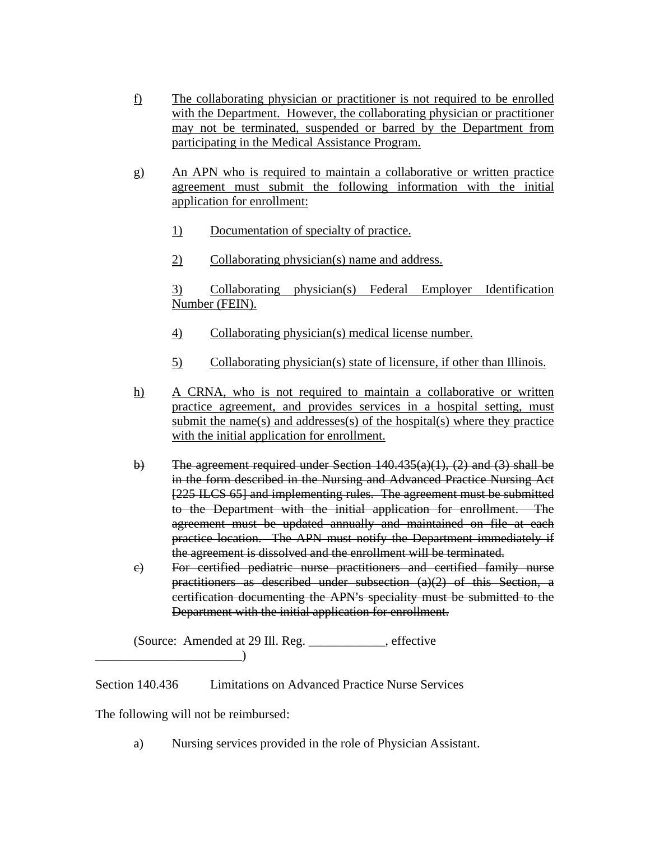- f) The collaborating physician or practitioner is not required to be enrolled with the Department. However, the collaborating physician or practitioner may not be terminated, suspended or barred by the Department from participating in the Medical Assistance Program.
- g) An APN who is required to maintain a collaborative or written practice agreement must submit the following information with the initial application for enrollment:
	- 1) Documentation of specialty of practice.
	- 2) Collaborating physician(s) name and address.

 3) Collaborating physician(s) Federal Employer Identification Number (FEIN).

- 4) Collaborating physician(s) medical license number.
- 5) Collaborating physician(s) state of licensure, if other than Illinois.
- h) A CRNA, who is not required to maintain a collaborative or written practice agreement, and provides services in a hospital setting, must submit the name(s) and addresses $(s)$  of the hospital $(s)$  where they practice with the initial application for enrollment.
- b) The agreement required under Section  $140.435(a)(1)$ , (2) and (3) shall be in the form described in the Nursing and Advanced Practice Nursing Act [225 ILCS 65] and implementing rules. The agreement must be submitted to the Department with the initial application for enrollment. The agreement must be updated annually and maintained on file at each practice location. The APN must notify the Department immediately if the agreement is dissolved and the enrollment will be terminated.
- c) For certified pediatric nurse practitioners and certified family nurse practitioners as described under subsection (a)(2) of this Section, a certification documenting the APN's speciality must be submitted to the Department with the initial application for enrollment.

 (Source: Amended at 29 Ill. Reg. \_\_\_\_\_\_\_\_\_\_\_\_, effective  $\Box$ 

Section 140.436 Limitations on Advanced Practice Nurse Services

The following will not be reimbursed:

a) Nursing services provided in the role of Physician Assistant.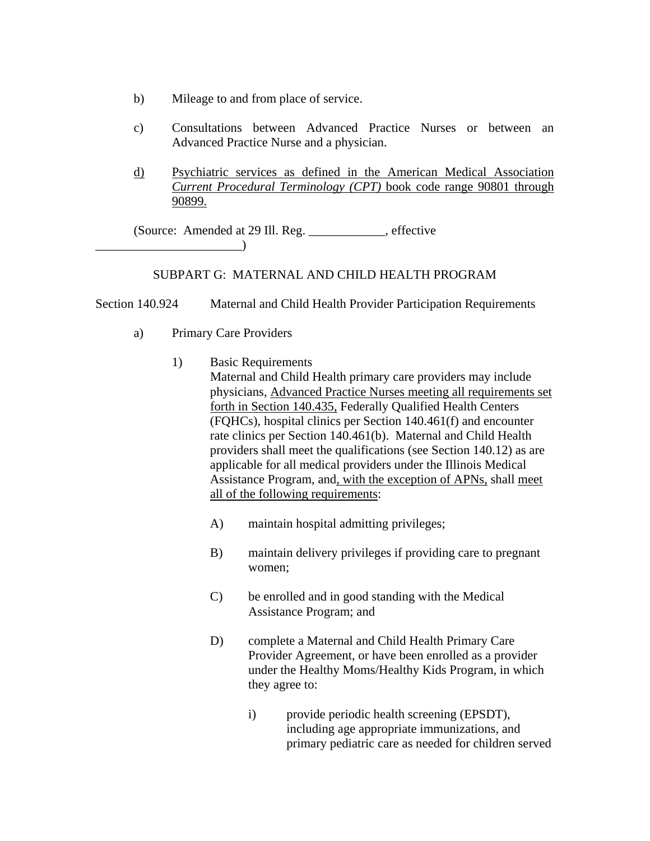- b) Mileage to and from place of service.
- c) Consultations between Advanced Practice Nurses or between an Advanced Practice Nurse and a physician.
- d) Psychiatric services as defined in the American Medical Association *Current Procedural Terminology (CPT)* book code range 90801 through 90899.

 (Source: Amended at 29 Ill. Reg. \_\_\_\_\_\_\_\_\_\_\_\_, effective  $\qquad \qquad$ 

## SUBPART G: MATERNAL AND CHILD HEALTH PROGRAM

Section 140.924 Maternal and Child Health Provider Participation Requirements

- a) Primary Care Providers
	- 1) Basic Requirements Maternal and Child Health primary care providers may include physicians, Advanced Practice Nurses meeting all requirements set forth in Section 140.435, Federally Qualified Health Centers (FQHCs), hospital clinics per Section 140.461(f) and encounter rate clinics per Section 140.461(b). Maternal and Child Health providers shall meet the qualifications (see Section 140.12) as are applicable for all medical providers under the Illinois Medical Assistance Program, and, with the exception of APNs, shall meet all of the following requirements:
		- A) maintain hospital admitting privileges;
		- B) maintain delivery privileges if providing care to pregnant women;
		- C) be enrolled and in good standing with the Medical Assistance Program; and
		- D) complete a Maternal and Child Health Primary Care Provider Agreement, or have been enrolled as a provider under the Healthy Moms/Healthy Kids Program, in which they agree to:
			- i) provide periodic health screening (EPSDT), including age appropriate immunizations, and primary pediatric care as needed for children served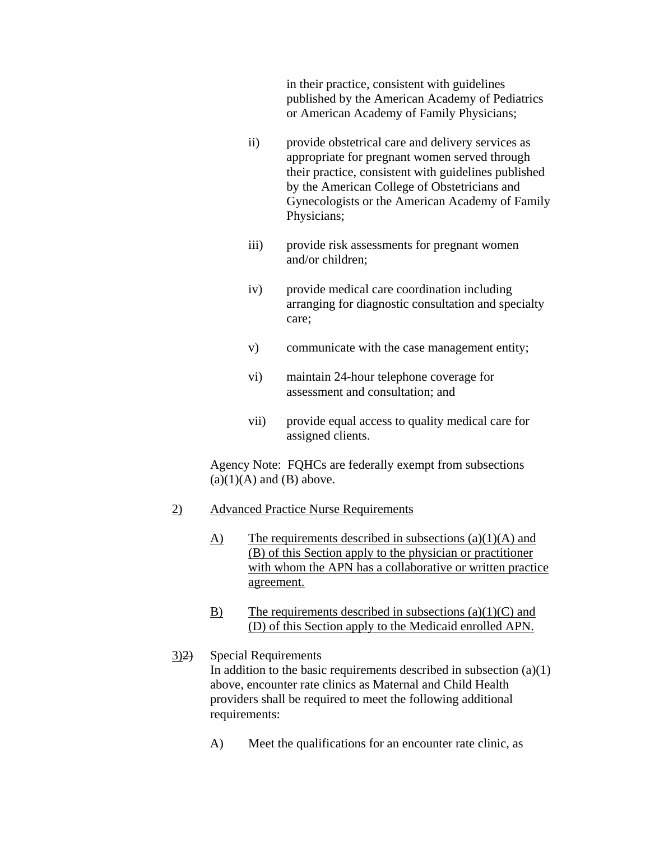in their practice, consistent with guidelines published by the American Academy of Pediatrics or American Academy of Family Physicians;

- ii) provide obstetrical care and delivery services as appropriate for pregnant women served through their practice, consistent with guidelines published by the American College of Obstetricians and Gynecologists or the American Academy of Family Physicians;
- iii) provide risk assessments for pregnant women and/or children;
- iv) provide medical care coordination including arranging for diagnostic consultation and specialty care;
- v) communicate with the case management entity;
- vi) maintain 24-hour telephone coverage for assessment and consultation; and
- vii) provide equal access to quality medical care for assigned clients.

 Agency Note: FQHCs are federally exempt from subsections  $(a)(1)(A)$  and  $(B)$  above.

## 2) Advanced Practice Nurse Requirements

- $\overline{A}$  The requirements described in subsections (a)(1)(A) and (B) of this Section apply to the physician or practitioner with whom the APN has a collaborative or written practice agreement.
- B) The requirements described in subsections  $(a)(1)(C)$  and (D) of this Section apply to the Medicaid enrolled APN.

## 3)2) Special Requirements In addition to the basic requirements described in subsection  $(a)(1)$ above, encounter rate clinics as Maternal and Child Health providers shall be required to meet the following additional requirements:

A) Meet the qualifications for an encounter rate clinic, as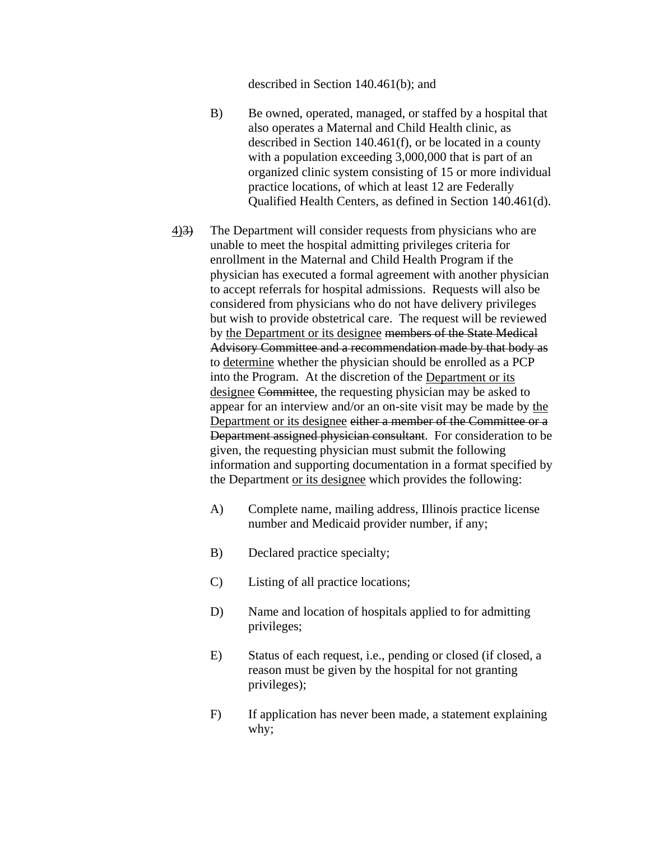described in Section 140.461(b); and

- B) Be owned, operated, managed, or staffed by a hospital that also operates a Maternal and Child Health clinic, as described in Section 140.461(f), or be located in a county with a population exceeding 3,000,000 that is part of an organized clinic system consisting of 15 or more individual practice locations, of which at least 12 are Federally Qualified Health Centers, as defined in Section 140.461(d).
- 4)3) The Department will consider requests from physicians who are unable to meet the hospital admitting privileges criteria for enrollment in the Maternal and Child Health Program if the physician has executed a formal agreement with another physician to accept referrals for hospital admissions. Requests will also be considered from physicians who do not have delivery privileges but wish to provide obstetrical care. The request will be reviewed by the Department or its designee members of the State Medical Advisory Committee and a recommendation made by that body as to determine whether the physician should be enrolled as a PCP into the Program. At the discretion of the Department or its designee Committee, the requesting physician may be asked to appear for an interview and/or an on-site visit may be made by the Department or its designee either a member of the Committee or a Department assigned physician consultant. For consideration to be given, the requesting physician must submit the following information and supporting documentation in a format specified by the Department or its designee which provides the following:
	- A) Complete name, mailing address, Illinois practice license number and Medicaid provider number, if any;
	- B) Declared practice specialty;
	- C) Listing of all practice locations;
	- D) Name and location of hospitals applied to for admitting privileges;
	- E) Status of each request, i.e., pending or closed (if closed, a reason must be given by the hospital for not granting privileges);
	- F) If application has never been made, a statement explaining why;